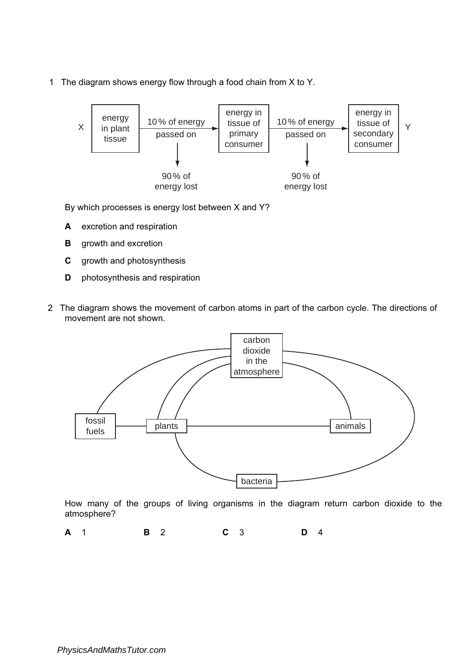1 The diagram shows energy flow through a food chain from X to Y.



By which processes is energy lost between X and Y?

- A excretion and respiration
- **B** growth and excretion
- C growth and photosynthesis
- D photosynthesis and respiration
- 2 The diagram shows the movement of carbon atoms in part of the carbon cycle. The directions of movement are not shown.



How many of the groups of living organisms in the diagram return carbon dioxide to the atmosphere?

**A** 1 **B** 2 **C** 3 **D** 4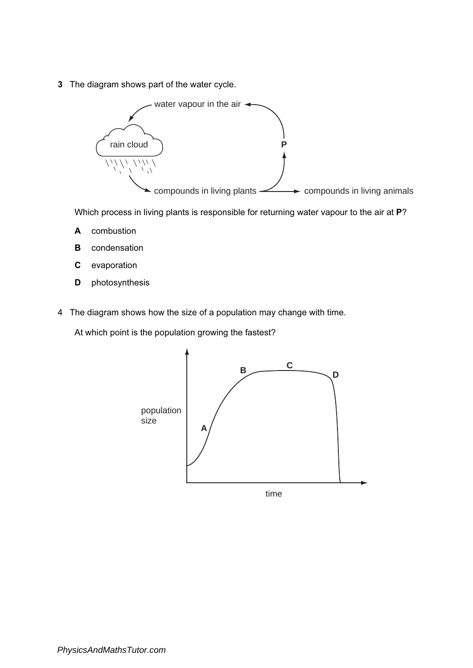3 The diagram shows part of the water cycle.



Which process in living plants is responsible for returning water vapour to the air at P?

- A combustion
- **B** condensation
- C evaporation
- D photosynthesis
- 4 The diagram shows how the size of a population may change with time.

At which point is the population growing the fastest?

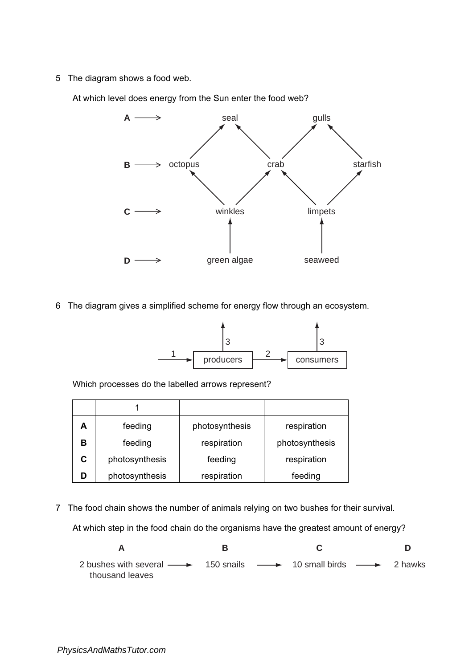5 The diagram shows a food web.

At which level does energy from the Sun enter the food web?



6 The diagram gives a simplified scheme for energy flow through an ecosystem.



Which processes do the labelled arrows represent?

| А | feeding        | photosynthesis | respiration    |
|---|----------------|----------------|----------------|
| в | feeding        | respiration    | photosynthesis |
|   | photosynthesis | feeding        | respiration    |
|   | photosynthesis | respiration    | feeding        |

7 The food chain shows the number of animals relying on two bushes for their survival.

At which step in the food chain do the organisms have the greatest amount of energy?

**A B C D** 2 bushes with several  $\rightarrow$  150 snails  $\rightarrow$  10 small birds  $\rightarrow$ 2 hawks thousand leaves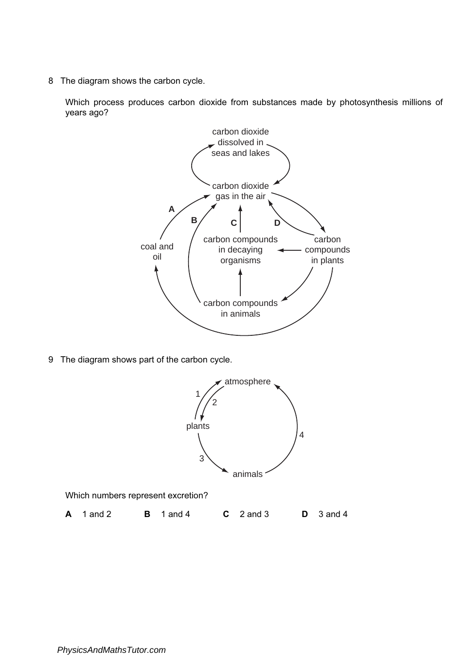8 The diagram shows the carbon cycle.

Which process produces carbon dioxide from substances made by photosynthesis millions of years ago?



9 The diagram shows part of the carbon cycle.



Which numbers represent excretion?

**A** 1 and 2 **B** 1 and 4 **C** 2 and 3 **D** 3 and 4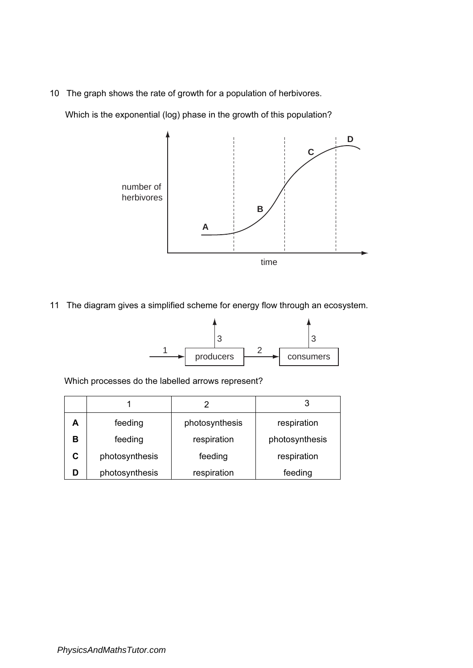10 The graph shows the rate of growth for a population of herbivores.

Which is the exponential (log) phase in the growth of this population?



11 The diagram gives a simplified scheme for energy flow through an ecosystem.



Which processes do the labelled arrows represent?

| A | feeding        | photosynthesis         | respiration    |
|---|----------------|------------------------|----------------|
| в | feeding        | respiration            | photosynthesis |
|   | photosynthesis | respiration<br>feeding |                |
|   | photosynthesis | respiration            | feeding        |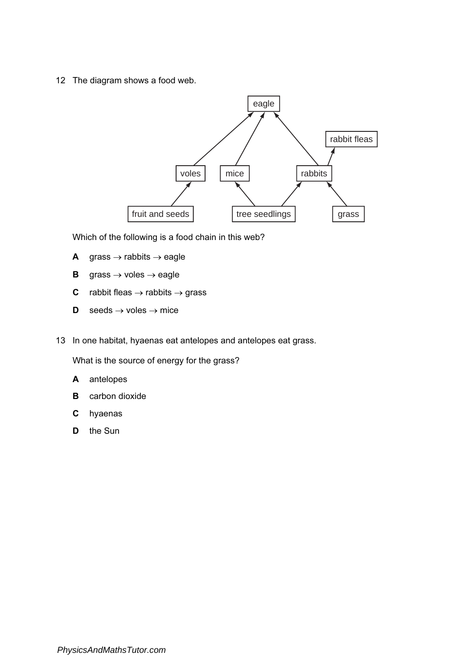12 The diagram shows a food web.



Which of the following is a food chain in this web?

- A grass  $\rightarrow$  rabbits  $\rightarrow$  eagle
- **B** grass  $\rightarrow$  voles  $\rightarrow$  eagle
- **C** rabbit fleas  $\rightarrow$  rabbits  $\rightarrow$  grass
- **D** seeds  $\rightarrow$  voles  $\rightarrow$  mice
- 13 In one habitat, hyaenas eat antelopes and antelopes eat grass.

What is the source of energy for the grass?

- A antelopes
- **B** carbon dioxide
- C hyaenas
- D the Sun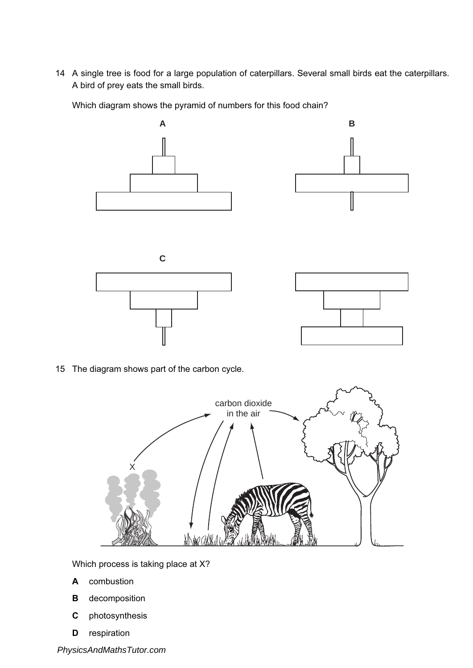14 A single tree is food for a large population of caterpillars. Several small birds eat the caterpillars. A bird of prey eats the small birds.

Which diagram shows the pyramid of numbers for this food chain?



15 The diagram shows part of the carbon cycle.



Which process is taking place at X?

- A combustion
- B decomposition
- C photosynthesis
- D respiration

*PhysicsAndMathsTutor.com*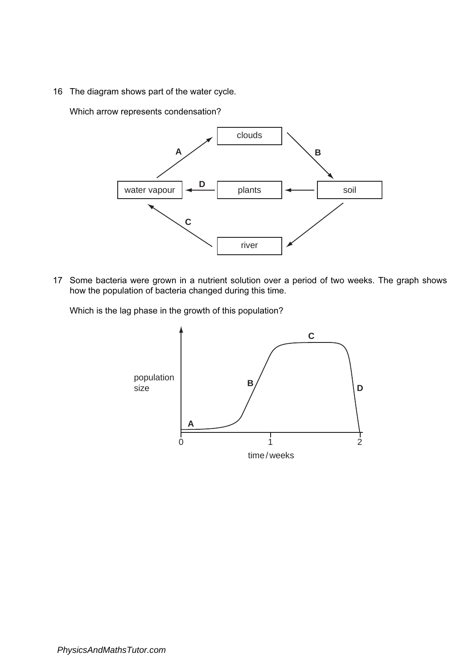16 The diagram shows part of the water cycle.

Which arrow represents condensation?



17 Some bacteria were grown in a nutrient solution over a period of two weeks. The graph shows how the population of bacteria changed during this time.

Which is the lag phase in the growth of this population?

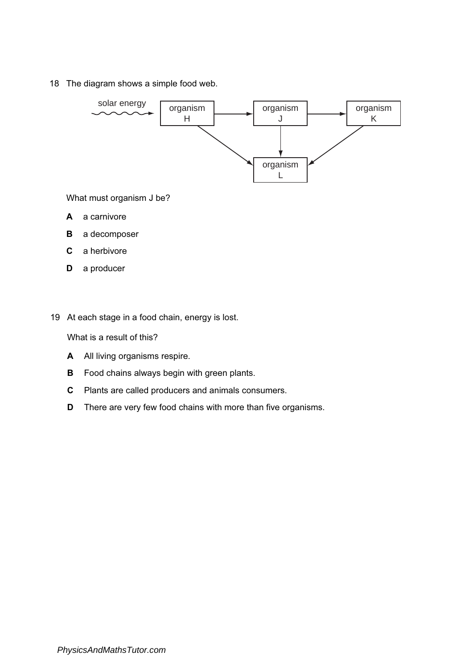18 The diagram shows a simple food web.



What must organism J be?

- A a carnivore
- B a decomposer
- $\mathbf{C}$ a herbivore
- **D** a producer
- 19 At each stage in a food chain, energy is lost.

What is a result of this?

- A All living organisms respire.
- **B** Food chains always begin with green plants.
- C Plants are called producers and animals consumers.
- **D** There are very few food chains with more than five organisms.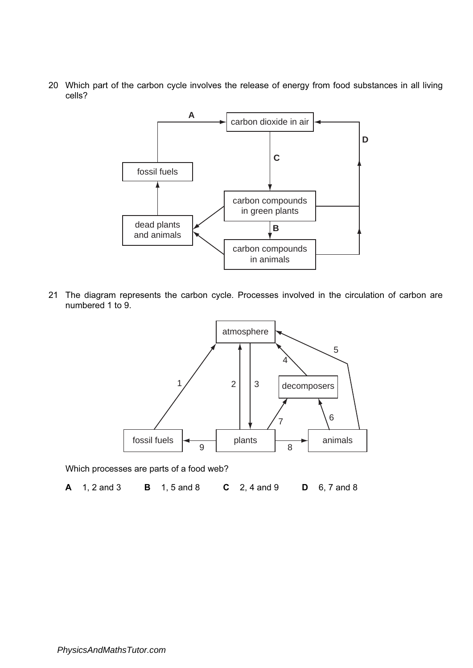20 Which part of the carbon cycle involves the release of energy from food substances in all living cells?



21 The diagram represents the carbon cycle. Processes involved in the circulation of carbon are numbered 1 to 9.



Which processes are parts of a food web?

A 1, 2 and 3 B 1, 5 and 8 C 2, 4 and 9 D 6, 7 and 8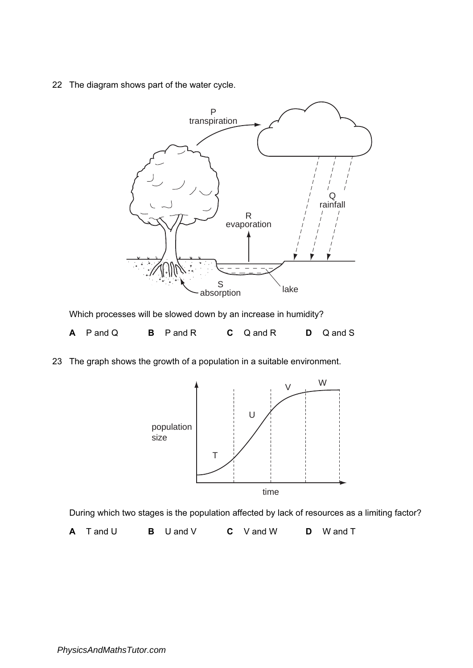22 The diagram shows part of the water cycle.



Which processes will be slowed down by an increase in humidity?

| $A$ P and Q | <b>B</b> P and R | $C$ Q and R | $D$ Q and S |
|-------------|------------------|-------------|-------------|
|             |                  |             |             |

23 The graph shows the growth of a population in a suitable environment.



During which two stages is the population affected by lack of resources as a limiting factor?

A T and U B U and V C V and W D W and T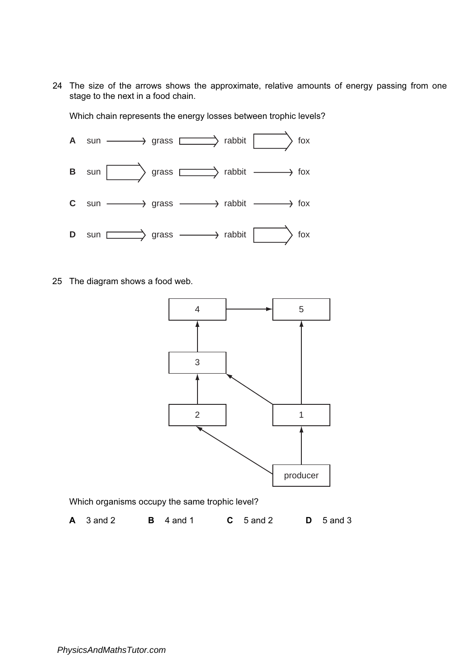24 The size of the arrows shows the approximate, relative amounts of energy passing from one stage to the next in a food chain.

Which chain represents the energy losses between trophic levels?



25 The diagram shows a food web.



Which organisms occupy the same trophic level?

**A** 3 and 2 **B** 4 and 1 **C** 5 and 2 **D** 5 and 3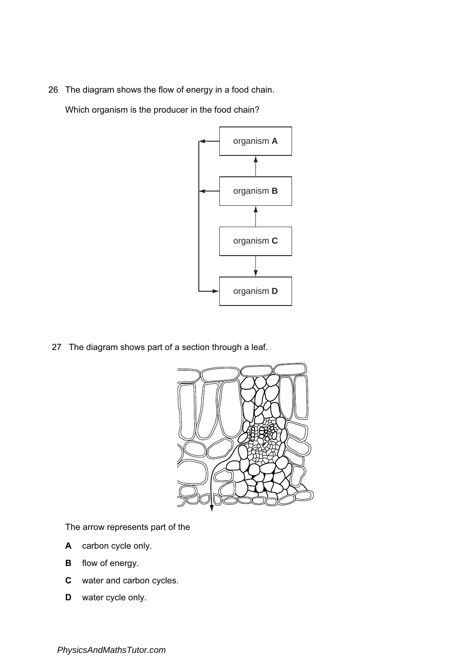26 The diagram shows the flow of energy in a food chain.

Which organism is the producer in the food chain?



27 The diagram shows part of a section through a leaf.



The arrow represents part of the

- A carbon cycle only.
- **B** flow of energy.
- C water and carbon cycles.
- D water cycle only.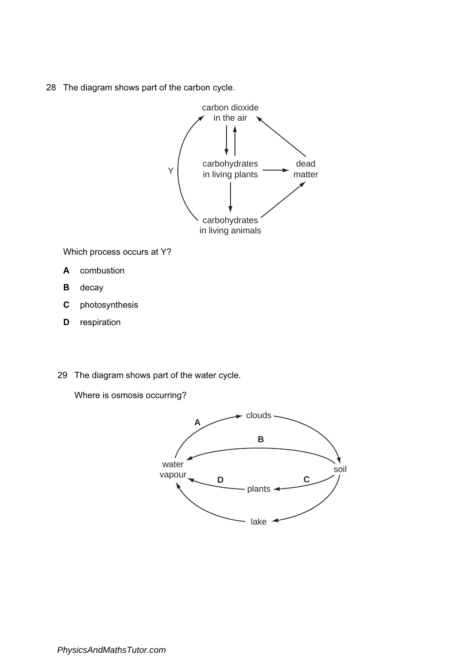28 The diagram shows part of the carbon cycle.



Which process occurs at Y?

- A combustion
- **B** decay
- C photosynthesis
- **D** respiration
- 29 The diagram shows part of the water cycle.

Where is osmosis occurring?

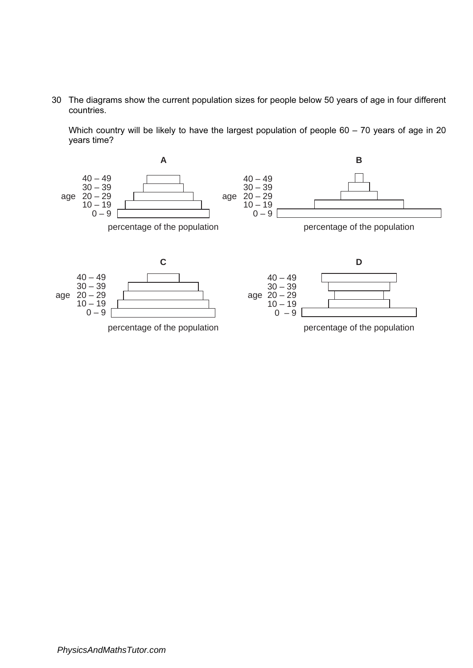30 The diagrams show the current population sizes for people below 50 years of age in four different countries.

Which country will be likely to have the largest population of people 60 – 70 years of age in 20 years time?

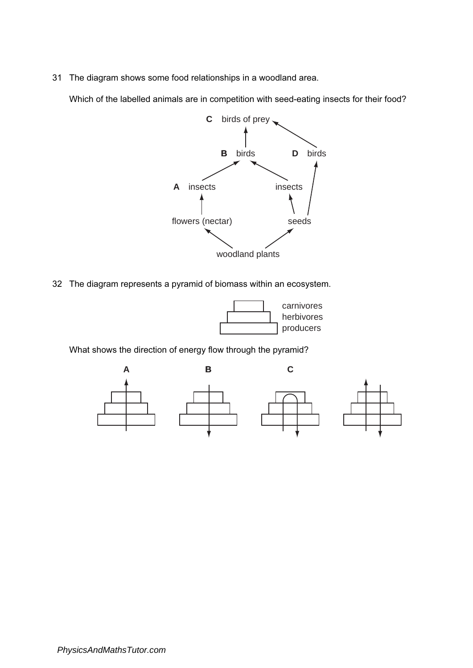31 The diagram shows some food relationships in a woodland area.

Which of the labelled animals are in competition with seed-eating insects for their food?



32 The diagram represents a pyramid of biomass within an ecosystem.



What shows the direction of energy flow through the pyramid?

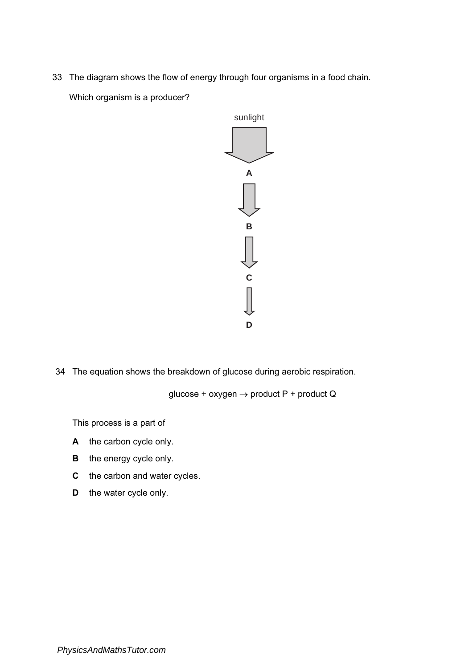33 The diagram shows the flow of energy through four organisms in a food chain.

Which organism is a producer?



34 The equation shows the breakdown of glucose during aerobic respiration.

glucose + oxygen  $\rightarrow$  product P + product Q

This process is a part of

- A the carbon cycle only.
- **B** the energy cycle only.
- C the carbon and water cycles.
- **D** the water cycle only.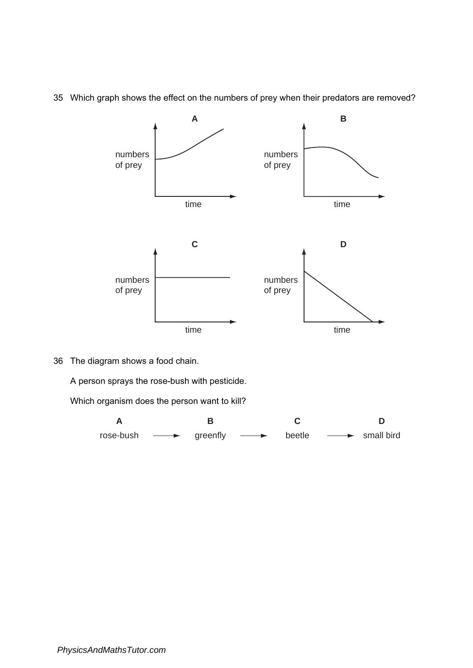35 Which graph shows the effect on the numbers of prey when their predators are removed?



36 The diagram shows a food chain.

A person sprays the rose-bush with pesticide.

Which organism does the person want to kill?

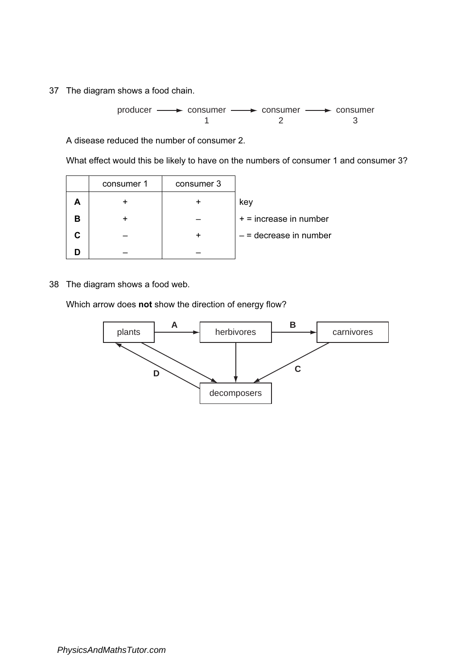37 The diagram shows a food chain.

producer - > consumer - > consumer - > consumer 1 2 3

A disease reduced the number of consumer 2.

What effect would this be likely to have on the numbers of consumer 1 and consumer 3?

|   | consumer 1 | consumer 3 |                          |
|---|------------|------------|--------------------------|
|   |            |            | key                      |
| В |            |            | $+$ = increase in number |
|   |            |            | $-$ = decrease in number |
|   |            |            |                          |

38 The diagram shows a food web.

Which arrow does not show the direction of energy flow?

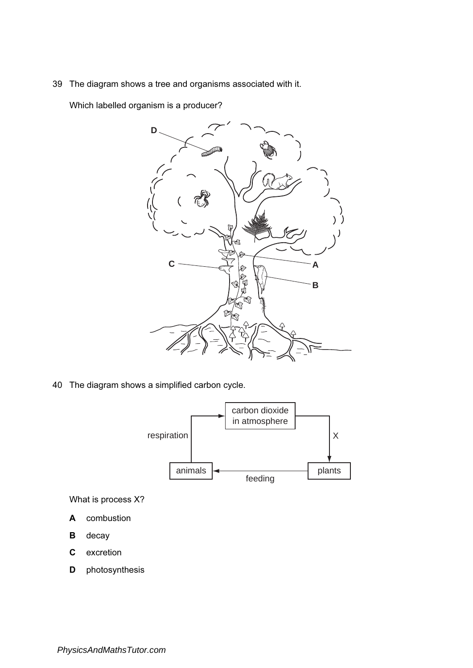39 The diagram shows a tree and organisms associated with it.

Which labelled organism is a producer?



40 The diagram shows a simplified carbon cycle.



What is process X?

- A combustion
- B decay
- C excretion
- D photosynthesis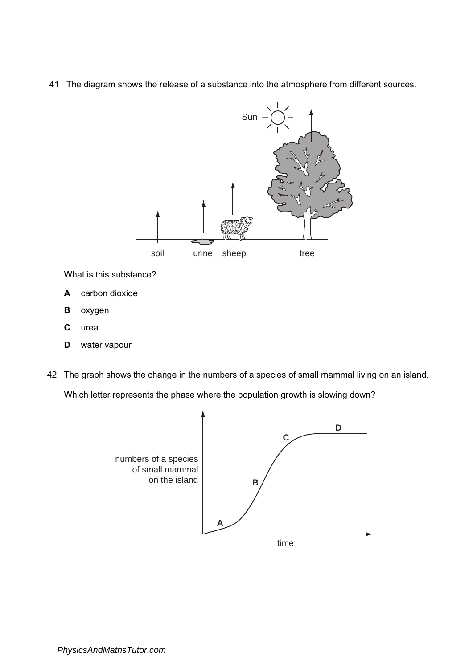41 The diagram shows the release of a substance into the atmosphere from different sources.



What is this substance?

- A carbon dioxide
- **B** oxygen
- C urea
- D water vapour
- 42 The graph shows the change in the numbers of a species of small mammal living on an island. Which letter represents the phase where the population growth is slowing down?

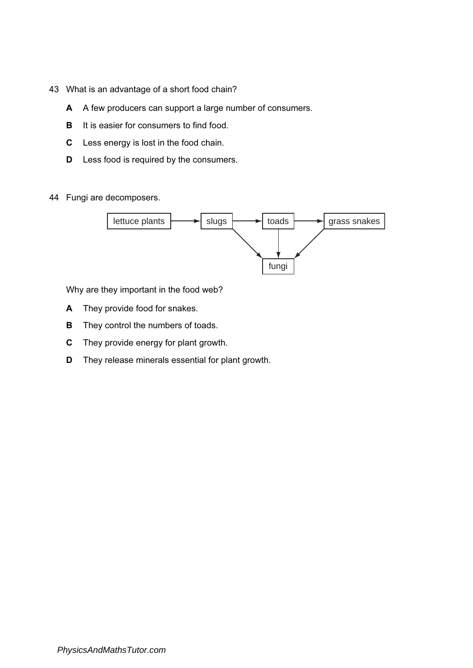- 43 What is an advantage of a short food chain?
	- A A few producers can support a large number of consumers.
	- **B** It is easier for consumers to find food.
	- C Less energy is lost in the food chain.
	- **D** Less food is required by the consumers.
- 44 Fungi are decomposers.



Why are they important in the food web?

- A They provide food for snakes.
- **B** They control the numbers of toads.
- C They provide energy for plant growth.
- D They release minerals essential for plant growth.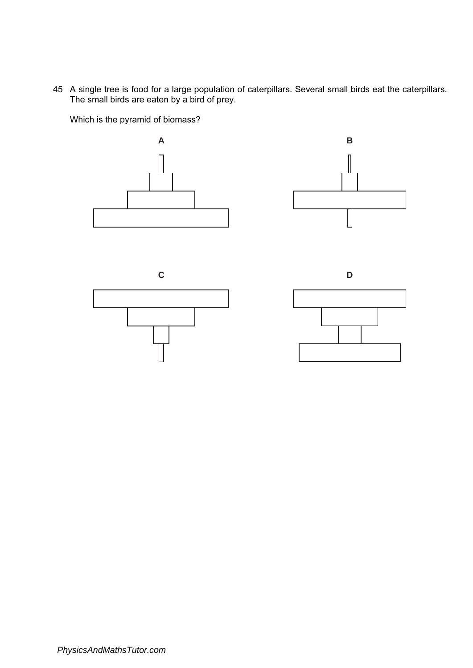45 A single tree is food for a large population of caterpillars. Several small birds eat the caterpillars. The small birds are eaten by a bird of prey.

Which is the pyramid of biomass?









*PhysicsAndMathsTutor.com*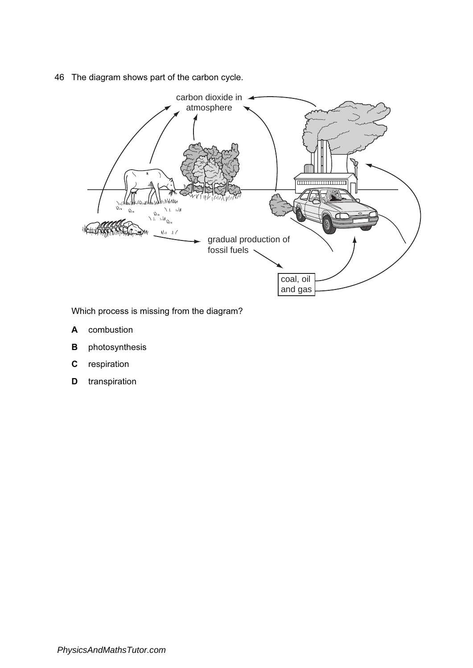46 The diagram shows part of the carbon cycle.



Which process is missing from the diagram?

- A combustion
- **B** photosynthesis
- C respiration
- **D** transpiration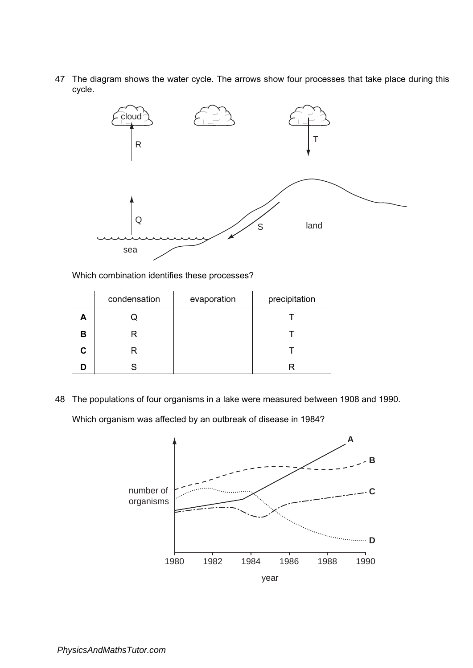47 The diagram shows the water cycle. The arrows show four processes that take place during this cycle.



Which combination identifies these processes?

|    | condensation | evaporation | precipitation |
|----|--------------|-------------|---------------|
|    |              |             |               |
| в  | R            |             |               |
| C. | R            |             |               |
|    |              |             |               |

48 The populations of four organisms in a lake were measured between 1908 and 1990. Which organism was affected by an outbreak of disease in 1984?